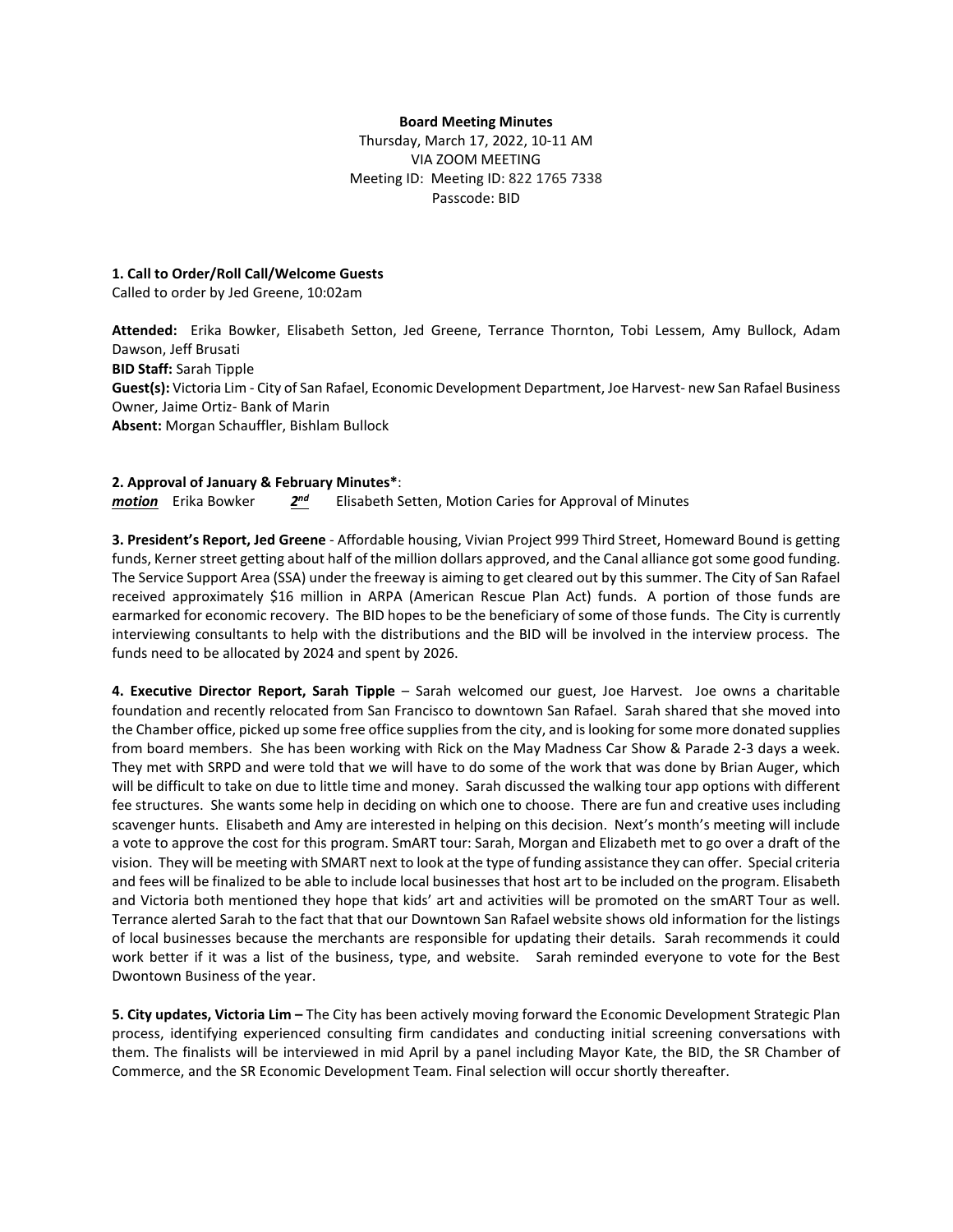### **Board Meeting Minutes**

Thursday, March 17, 2022, 10-11 AM VIA ZOOM MEETING Meeting ID: Meeting ID: 822 1765 7338 Passcode: BID

## **1. Call to Order/Roll Call/Welcome Guests**

Called to order by Jed Greene, 10:02am

**Attended:** Erika Bowker, Elisabeth Setton, Jed Greene, Terrance Thornton, Tobi Lessem, Amy Bullock, Adam Dawson, Jeff Brusati **BID Staff:** Sarah Tipple **Guest(s):** Victoria Lim - City of San Rafael, Economic Development Department, Joe Harvest- new San Rafael Business Owner, Jaime Ortiz- Bank of Marin **Absent:** Morgan Schauffler, Bishlam Bullock

## **2. Approval of January & February Minutes\***:

*motion* Erika Bowker *2nd* Elisabeth Setten, Motion Caries for Approval of Minutes

**3. President's Report, Jed Greene** - Affordable housing, Vivian Project 999 Third Street, Homeward Bound is getting funds, Kerner street getting about half of the million dollars approved, and the Canal alliance got some good funding. The Service Support Area (SSA) under the freeway is aiming to get cleared out by this summer. The City of San Rafael received approximately \$16 million in ARPA (American Rescue Plan Act) funds. A portion of those funds are earmarked for economic recovery. The BID hopes to be the beneficiary of some of those funds. The City is currently interviewing consultants to help with the distributions and the BID will be involved in the interview process. The funds need to be allocated by 2024 and spent by 2026.

**4. Executive Director Report, Sarah Tipple** – Sarah welcomed our guest, Joe Harvest. Joe owns a charitable foundation and recently relocated from San Francisco to downtown San Rafael. Sarah shared that she moved into the Chamber office, picked up some free office supplies from the city, and is looking for some more donated supplies from board members. She has been working with Rick on the May Madness Car Show & Parade 2-3 days a week. They met with SRPD and were told that we will have to do some of the work that was done by Brian Auger, which will be difficult to take on due to little time and money. Sarah discussed the walking tour app options with different fee structures. She wants some help in deciding on which one to choose. There are fun and creative uses including scavenger hunts. Elisabeth and Amy are interested in helping on this decision. Next's month's meeting will include a vote to approve the cost for this program. SmART tour: Sarah, Morgan and Elizabeth met to go over a draft of the vision. They will be meeting with SMART next to look at the type of funding assistance they can offer. Special criteria and fees will be finalized to be able to include local businesses that host art to be included on the program. Elisabeth and Victoria both mentioned they hope that kids' art and activities will be promoted on the smART Tour as well. Terrance alerted Sarah to the fact that that our Downtown San Rafael website shows old information for the listings of local businesses because the merchants are responsible for updating their details. Sarah recommends it could work better if it was a list of the business, type, and website. Sarah reminded everyone to vote for the Best Dwontown Business of the year.

**5. City updates, Victoria Lim –** The City has been actively moving forward the Economic Development Strategic Plan process, identifying experienced consulting firm candidates and conducting initial screening conversations with them. The finalists will be interviewed in mid April by a panel including Mayor Kate, the BID, the SR Chamber of Commerce, and the SR Economic Development Team. Final selection will occur shortly thereafter.